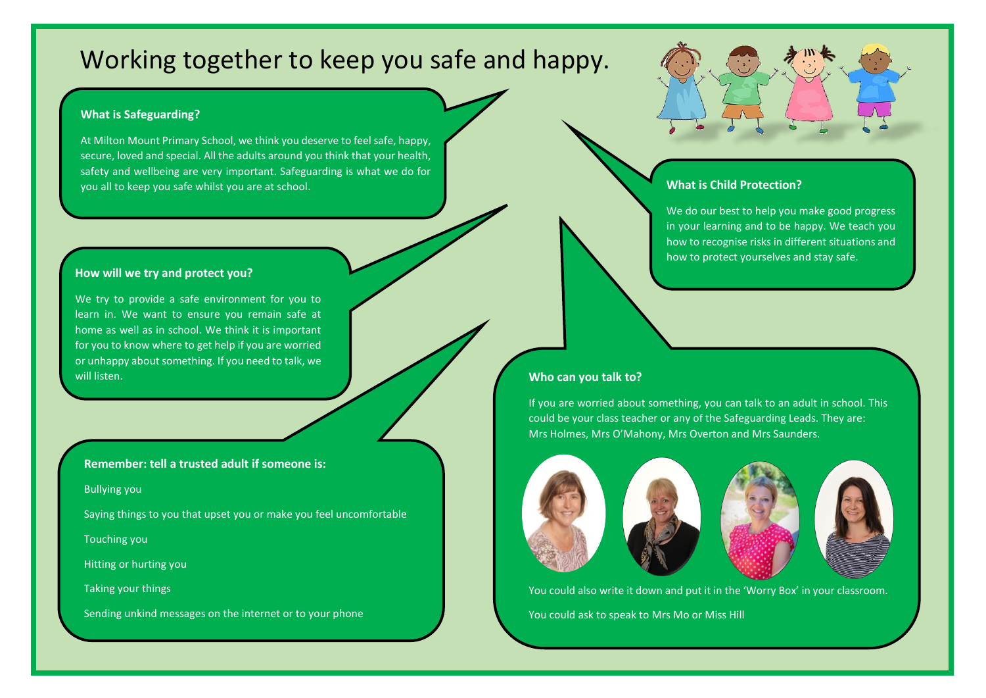# Working together to keep you safe and happy.

#### **What is Safeguarding?**

At Milton Mount Primary School, we think you deserve to feel safe, happy, secure, loved and special. All the adults around you think that your health, safety and wellbeing are very important. Safeguarding is what we do for you all to keep you safe whilst you are at school.

#### **How will we try and protect you?**

We try to provide a safe environment for you to learn in. We want to ensure you remain safe at home as well as in school. We think it is important for you to know where to get help if you are worried or unhappy about something. If you need to talk, we will listen.

**Remember: tell a trusted adult if someone is:**

Bullying you

Saying things to you that upset you or make you feel uncomfortable

Touching you

Hitting or hurting you

Taking your things

Sending unkind messages on the internet or to your phone

## **What is Child Protection?**

We do our best to help you make good progress in your learning and to be happy. We teach you how to recognise risks in different situations and how to protect yourselves and stay safe.

#### **Who can you talk to?**

If you are worried about something, you can talk to an adult in school. This could be your class teacher or any of the Safeguarding Leads. They are: Mrs Holmes, Mrs O'Mahony, Mrs Overton and Mrs Saunders.







You could also write it down and put it in the 'Worry Box' in your classroom.

You could ask to speak to Mrs Mo or Miss Hill